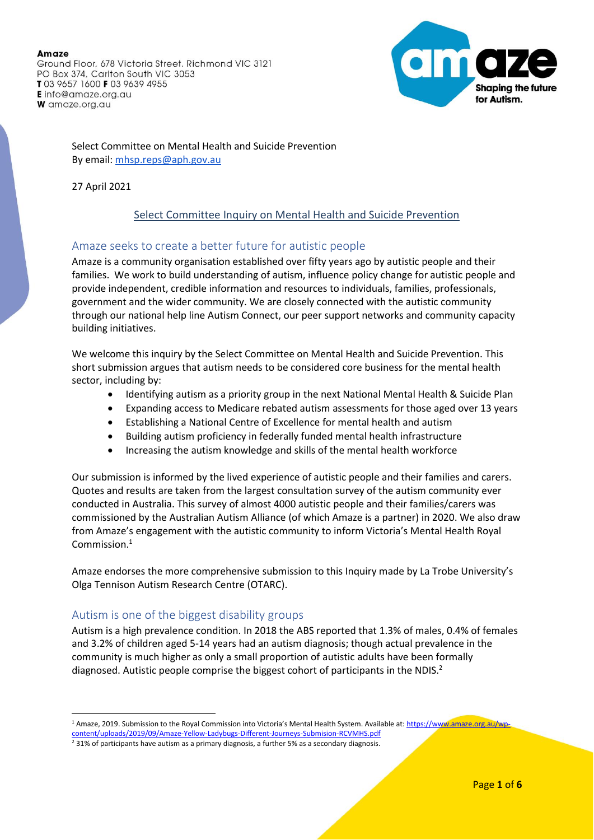Ground Floor, 678 Victoria Street. Richmond VIC 3121 PO Box 374, Carlton South VIC 3053 T03 9657 1600 F03 9639 4955 **E** info@amaze.org.au W amaze.org.au



Select Committee on Mental Health and Suicide Prevention By email[: mhsp.reps@aph.gov.au](mailto:mhsp.reps@aph.gov.au)

27 April 2021

# Select Committee Inquiry on Mental Health and Suicide Prevention

# Amaze seeks to create a better future for autistic people

Amaze is a community organisation established over fifty years ago by autistic people and their families. We work to build understanding of autism, influence policy change for autistic people and provide independent, credible information and resources to individuals, families, professionals, government and the wider community. We are closely connected with the autistic community through our national help line Autism Connect, our peer support networks and community capacity building initiatives.

We welcome this inquiry by the Select Committee on Mental Health and Suicide Prevention. This short submission argues that autism needs to be considered core business for the mental health sector, including by:

- Identifying autism as a priority group in the next National Mental Health & Suicide Plan
- Expanding access to Medicare rebated autism assessments for those aged over 13 years
- Establishing a National Centre of Excellence for mental health and autism
- Building autism proficiency in federally funded mental health infrastructure
- Increasing the autism knowledge and skills of the mental health workforce

Our submission is informed by the lived experience of autistic people and their families and carers. Quotes and results are taken from the largest consultation survey of the autism community ever conducted in Australia. This survey of almost 4000 autistic people and their families/carers was commissioned by the Australian Autism Alliance (of which Amaze is a partner) in 2020. We also draw from Amaze's engagement with the autistic community to inform Victoria's Mental Health Royal Commission<sup>1</sup>

Amaze endorses the more comprehensive submission to this Inquiry made by La Trobe University's Olga Tennison Autism Research Centre (OTARC).

# Autism is one of the biggest disability groups

Autism is a high prevalence condition. In 2018 the ABS reported that 1.3% of males, 0.4% of females and 3.2% of children aged 5-14 years had an autism diagnosis; though actual prevalence in the community is much higher as only a small proportion of autistic adults have been formally diagnosed. Autistic people comprise the biggest cohort of participants in the NDIS.<sup>2</sup>

<sup>&</sup>lt;sup>1</sup> Amaze, 2019. Submission to the Royal Commission into Victoria's Mental Health System. Available at: [https://www.amaze.org.au/wp](https://www.amaze.org.au/wp-content/uploads/2019/09/Amaze-Yellow-Ladybugs-Different-Journeys-Submision-RCVMHS.pdf)[content/uploads/2019/09/Amaze-Yellow-Ladybugs-Different-Journeys-Submision-RCVMHS.pdf](https://www.amaze.org.au/wp-content/uploads/2019/09/Amaze-Yellow-Ladybugs-Different-Journeys-Submision-RCVMHS.pdf)

 $2$  31% of participants have autism as a primary diagnosis, a further 5% as a secondary diagnosis.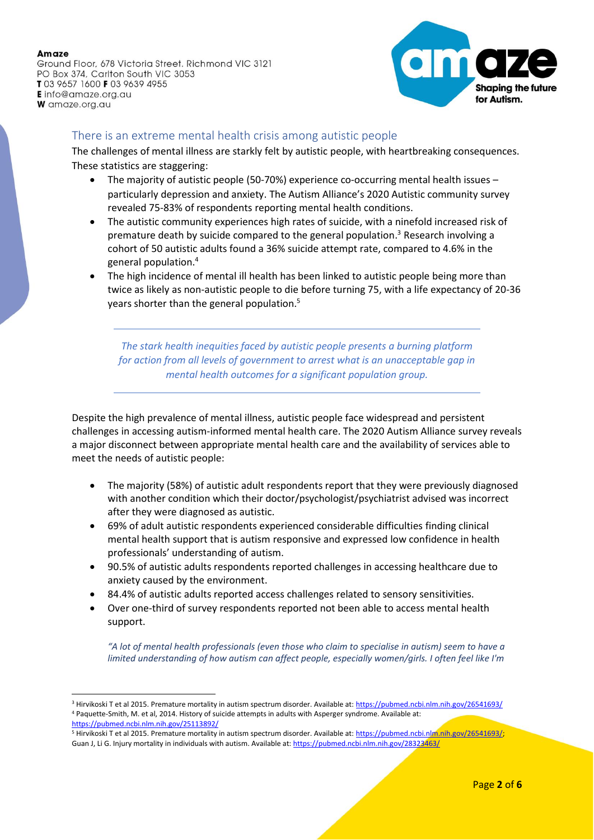Ground Floor, 678 Victoria Street. Richmond VIC 3121 PO Box 374, Carlton South VIC 3053 T03 9657 1600 F03 9639 4955 **E** info@amaze.org.au W amaze.org.au



## There is an extreme mental health crisis among autistic people

The challenges of mental illness are starkly felt by autistic people, with heartbreaking consequences. These statistics are staggering:

- The majority of autistic people (50-70%) experience co-occurring mental health issues particularly depression and anxiety. The Autism Alliance's 2020 Autistic community survey revealed 75-83% of respondents reporting mental health conditions.
- The autistic community experiences high rates of suicide, with a ninefold increased risk of premature death by suicide compared to the general population. <sup>3</sup> Research involving a cohort of 50 autistic adults found a 36% suicide attempt rate, compared to 4.6% in the general population. 4
- The high incidence of mental ill health has been linked to autistic people being more than twice as likely as non-autistic people to die before turning 75, with a life expectancy of 20-36 years shorter than the general population. 5

*The stark health inequities faced by autistic people presents a burning platform for action from all levels of government to arrest what is an unacceptable gap in mental health outcomes for a significant population group.* 

Despite the high prevalence of mental illness, autistic people face widespread and persistent challenges in accessing autism‐informed mental health care. The 2020 Autism Alliance survey reveals a major disconnect between appropriate mental health care and the availability of services able to meet the needs of autistic people:

- The majority (58%) of autistic adult respondents report that they were previously diagnosed with another condition which their doctor/psychologist/psychiatrist advised was incorrect after they were diagnosed as autistic.
- 69% of adult autistic respondents experienced considerable difficulties finding clinical mental health support that is autism responsive and expressed low confidence in health professionals' understanding of autism.
- 90.5% of autistic adults respondents reported challenges in accessing healthcare due to anxiety caused by the environment.
- 84.4% of autistic adults reported access challenges related to sensory sensitivities.
- Over one-third of survey respondents reported not been able to access mental health support.

*"A lot of mental health professionals (even those who claim to specialise in autism) seem to have a limited understanding of how autism can affect people, especially women/girls. I often feel like I'm* 

<sup>&</sup>lt;sup>3</sup> Hirvikoski T et al 2015. Premature mortality in autism spectrum disorder. Available at:<https://pubmed.ncbi.nlm.nih.gov/26541693/> <sup>4</sup> Paquette-Smith, M. et al, 2014. History of suicide attempts in adults with Asperger syndrome. Available at: <https://pubmed.ncbi.nlm.nih.gov/25113892/>

<sup>&</sup>lt;sup>5</sup> Hirvikoski T et al 2015. Premature mortality in autism spectrum disorder. Available at: [https://pubmed.ncbi.nlm.nih.gov/26541693/;](https://pubmed.ncbi.nlm.nih.gov/26541693/) Guan J, Li G. Injury mortality in individuals with autism. Available at[: https://pubmed.ncbi.nlm.nih.gov/28323463/](https://pubmed.ncbi.nlm.nih.gov/28323463/)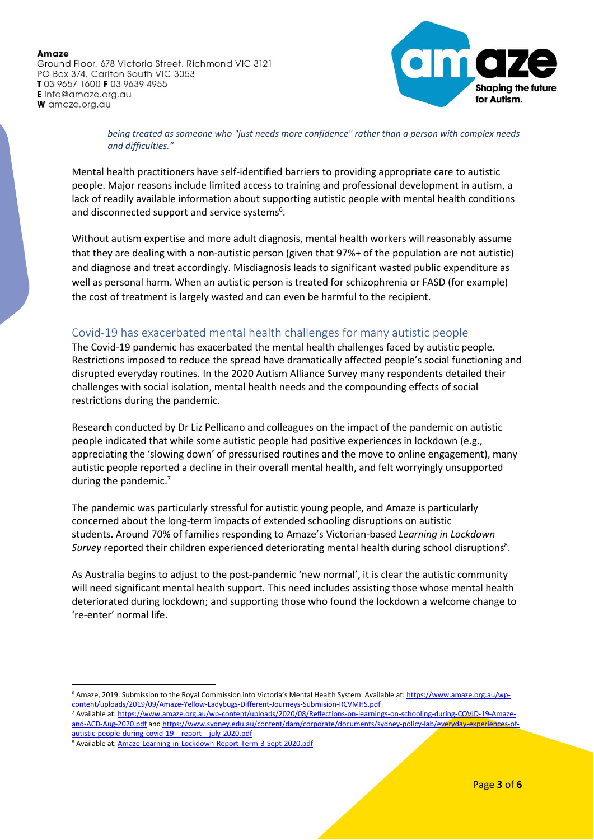Ground Floor, 678 Victoria Street. Richmond VIC 3121 PO Box 374, Carlton South VIC 3053 T03 9657 1600 F03 9639 4955 **E** info@amaze.org.au W amaze.org.au



*being treated as someone who "just needs more confidence" rather than a person with complex needs and difficulties."*

Mental health practitioners have self-identified barriers to providing appropriate care to autistic people. Major reasons include limited access to training and professional development in autism, a lack of readily available information about supporting autistic people with mental health conditions and disconnected support and service systems $6$ .

Without autism expertise and more adult diagnosis, mental health workers will reasonably assume that they are dealing with a non-autistic person (given that 97%+ of the population are not autistic) and diagnose and treat accordingly. Misdiagnosis leads to significant wasted public expenditure as well as personal harm. When an autistic person is treated for schizophrenia or FASD (for example) the cost of treatment is largely wasted and can even be harmful to the recipient.

# Covid-19 has exacerbated mental health challenges for many autistic people

The Covid-19 pandemic has exacerbated the mental health challenges faced by autistic people. Restrictions imposed to reduce the spread have dramatically affected people's social functioning and disrupted everyday routines. In the 2020 Autism Alliance Survey many respondents detailed their challenges with social isolation, mental health needs and the compounding effects of social restrictions during the pandemic.

Research conducted by Dr Liz Pellicano and colleagues on the impact of the pandemic on autistic people indicated that while some autistic people had positive experiences in lockdown (e.g., appreciating the 'slowing down' of pressurised routines and the move to online engagement), many autistic people reported a decline in their overall mental health, and felt worryingly unsupported during the pandemic.<sup>7</sup>

The pandemic was particularly stressful for autistic young people, and Amaze is particularly concerned about the long-term impacts of extended schooling disruptions on autistic students. Around 70% of families responding to Amaze's Victorian-based *Learning in Lockdown*  Survey reported their children experienced deteriorating mental health during school disruptions<sup>8</sup>.

As Australia begins to adjust to the post-pandemic 'new normal', it is clear the autistic community will need significant mental health support. This need includes assisting those whose mental health deteriorated during lockdown; and supporting those who found the lockdown a welcome change to 're-enter' normal life.

<sup>6</sup> Amaze, 2019. Submission to the Royal Commission into Victoria's Mental Health System. Available at: [https://www.amaze.org.au/wp](https://www.amaze.org.au/wp-content/uploads/2019/09/Amaze-Yellow-Ladybugs-Different-Journeys-Submision-RCVMHS.pdf)[content/uploads/2019/09/Amaze-Yellow-Ladybugs-Different-Journeys-Submision-RCVMHS.pdf](https://www.amaze.org.au/wp-content/uploads/2019/09/Amaze-Yellow-Ladybugs-Different-Journeys-Submision-RCVMHS.pdf)

<sup>7</sup> Available at: [https://www.amaze.org.au/wp-content/uploads/2020/08/Reflections-on-learnings-on-schooling-during-COVID-19-Amaze](https://www.amaze.org.au/wp-content/uploads/2020/08/Reflections-on-learnings-on-schooling-during-COVID-19-Amaze-and-ACD-Aug-2020.pdf)[and-ACD-Aug-2020.pdf](https://www.amaze.org.au/wp-content/uploads/2020/08/Reflections-on-learnings-on-schooling-during-COVID-19-Amaze-and-ACD-Aug-2020.pdf) and [https://www.sydney.edu.au/content/dam/corporate/documents/sydney-policy-lab/everyday-experiences-of](https://www.sydney.edu.au/content/dam/corporate/documents/sydney-policy-lab/everyday-experiences-of-autistic-people-during-covid-19---report---july-2020.pdf)[autistic-people-during-covid-19---report---july-2020.pdf](https://www.sydney.edu.au/content/dam/corporate/documents/sydney-policy-lab/everyday-experiences-of-autistic-people-during-covid-19---report---july-2020.pdf)

<sup>8</sup> Available at: [Amaze-Learning-in-Lockdown-Report-Term-3-Sept-2020.pdf](https://www.amaze.org.au/wp-content/uploads/2020/09/Amaze-Learning-in-Lockdown-Report-Term-3-Sept-2020.pdf)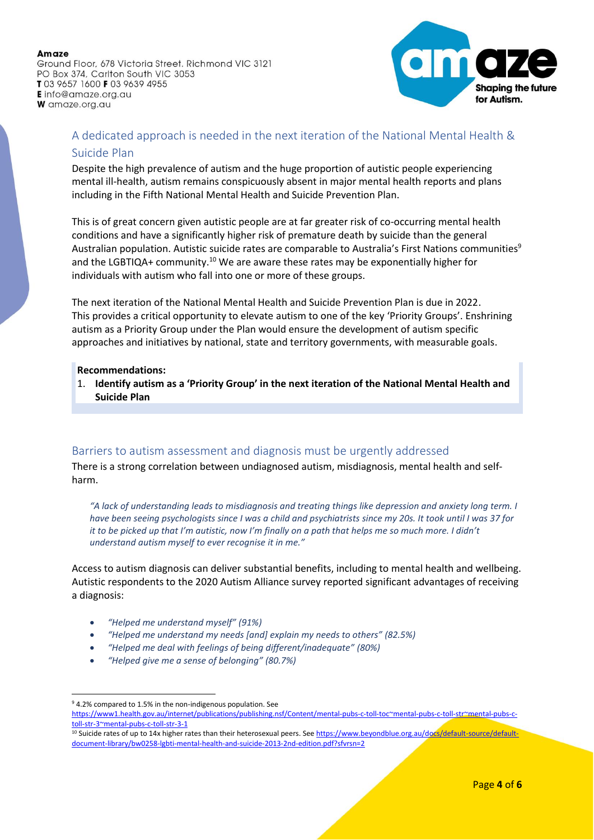Ground Floor, 678 Victoria Street. Richmond VIC 3121 PO Box 374, Carlton South VIC 3053 T03 9657 1600 F03 9639 4955 **E** info@amaze.org.au W amaze.org.au



# A dedicated approach is needed in the next iteration of the National Mental Health & Suicide Plan

Despite the high prevalence of autism and the huge proportion of autistic people experiencing mental ill-health, autism remains conspicuously absent in major mental health reports and plans including in the Fifth National Mental Health and Suicide Prevention Plan.

This is of great concern given autistic people are at far greater risk of co-occurring mental health conditions and have a significantly higher risk of premature death by suicide than the general Australian population. Autistic suicide rates are comparable to Australia's First Nations communities<sup>9</sup> and the LGBTIQA+ community.<sup>10</sup> We are aware these rates may be exponentially higher for individuals with autism who fall into one or more of these groups.

The next iteration of the National Mental Health and Suicide Prevention Plan is due in 2022. This provides a critical opportunity to elevate autism to one of the key 'Priority Groups'. Enshrining autism as a Priority Group under the Plan would ensure the development of autism specific approaches and initiatives by national, state and territory governments, with measurable goals.

#### **Recommendations:**

1. **Identify autism as a 'Priority Group' in the next iteration of the National Mental Health and Suicide Plan**

# Barriers to autism assessment and diagnosis must be urgently addressed

There is a strong correlation between undiagnosed autism, misdiagnosis, mental health and self‐ harm.

*"A lack of understanding leads to misdiagnosis and treating things like depression and anxiety long term. I have been seeing psychologists since I was a child and psychiatrists since my 20s. It took until I was 37 for it to be picked up that I'm autistic, now I'm finally on a path that helps me so much more. I didn't understand autism myself to ever recognise it in me."*

Access to autism diagnosis can deliver substantial benefits, including to mental health and wellbeing. Autistic respondents to the 2020 Autism Alliance survey reported significant advantages of receiving a diagnosis:

- *"Helped me understand myself" (91%)*
- *"Helped me understand my needs [and] explain my needs to others" (82.5%)*
- *"Helped me deal with feelings of being different/inadequate" (80%)*
- *"Helped give me a sense of belonging" (80.7%)*

<sup>9</sup> 4.2% compared to 1.5% in the non-indigenous population. See

[https://www1.health.gov.au/internet/publications/publishing.nsf/Content/mental-pubs-c-toll-toc~mental-pubs-c-toll-str~mental-pubs-c](https://www1.health.gov.au/internet/publications/publishing.nsf/Content/mental-pubs-c-toll-toc~mental-pubs-c-toll-str~mental-pubs-c-toll-str-3~mental-pubs-c-toll-str-3-1)[toll-str-3~mental-pubs-c-toll-str-3-1](https://www1.health.gov.au/internet/publications/publishing.nsf/Content/mental-pubs-c-toll-toc~mental-pubs-c-toll-str~mental-pubs-c-toll-str-3~mental-pubs-c-toll-str-3-1)

<sup>&</sup>lt;sup>10</sup> Suicide rates of up to 14x higher rates than their heterosexual peers. See [https://www.beyondblue.org.au/docs/default-source/default](https://www.beyondblue.org.au/docs/default-source/default-document-library/bw0258-lgbti-mental-health-and-suicide-2013-2nd-edition.pdf?sfvrsn=2)[document-library/bw0258-lgbti-mental-health-and-suicide-2013-2nd-edition.pdf?sfvrsn=2](https://www.beyondblue.org.au/docs/default-source/default-document-library/bw0258-lgbti-mental-health-and-suicide-2013-2nd-edition.pdf?sfvrsn=2)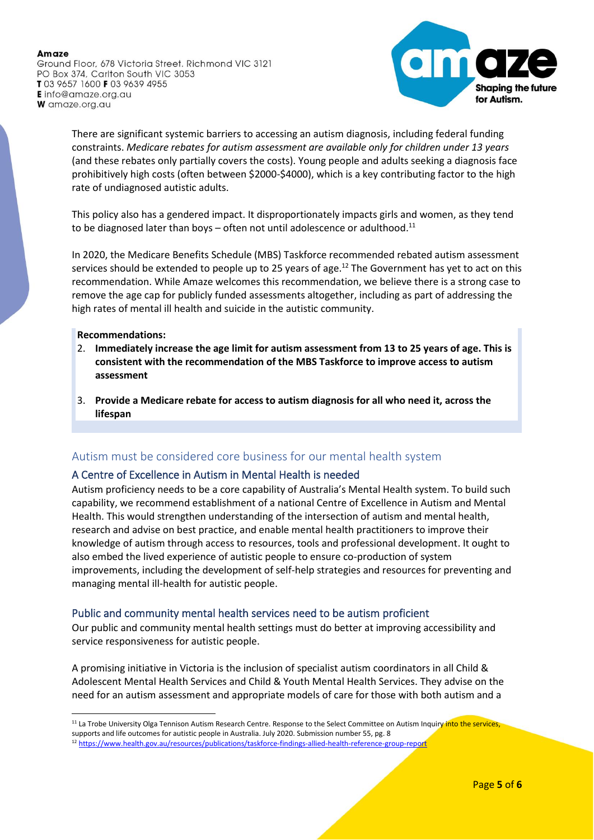Ground Floor, 678 Victoria Street. Richmond VIC 3121 PO Box 374, Carlton South VIC 3053 T03 9657 1600 F03 9639 4955 **E** info@amaze.org.au W amaze.org.au



There are significant systemic barriers to accessing an autism diagnosis, including federal funding constraints. *Medicare rebates for autism assessment are available only for children under 13 years* (and these rebates only partially covers the costs). Young people and adults seeking a diagnosis face prohibitively high costs (often between \$2000-\$4000), which is a key contributing factor to the high rate of undiagnosed autistic adults.

This policy also has a gendered impact. It disproportionately impacts girls and women, as they tend to be diagnosed later than boys – often not until adolescence or adulthood.<sup>11</sup>

In 2020, the Medicare Benefits Schedule (MBS) Taskforce recommended rebated autism assessment services should be extended to people up to 25 years of age. <sup>12</sup> The Government has yet to act on this recommendation. While Amaze welcomes this recommendation, we believe there is a strong case to remove the age cap for publicly funded assessments altogether, including as part of addressing the high rates of mental ill health and suicide in the autistic community.

### **Recommendations:**

- 2. **Immediately increase the age limit for autism assessment from 13 to 25 years of age. This is consistent with the recommendation of the MBS Taskforce to improve access to autism assessment**
- 3. **Provide a Medicare rebate for access to autism diagnosis for all who need it, across the lifespan**

### Autism must be considered core business for our mental health system

### A Centre of Excellence in Autism in Mental Health is needed

Autism proficiency needs to be a core capability of Australia's Mental Health system. To build such capability, we recommend establishment of a national Centre of Excellence in Autism and Mental Health. This would strengthen understanding of the intersection of autism and mental health, research and advise on best practice, and enable mental health practitioners to improve their knowledge of autism through access to resources, tools and professional development. It ought to also embed the lived experience of autistic people to ensure co-production of system improvements, including the development of self-help strategies and resources for preventing and managing mental ill-health for autistic people.

### Public and community mental health services need to be autism proficient

Our public and community mental health settings must do better at improving accessibility and service responsiveness for autistic people.

A promising initiative in Victoria is the inclusion of specialist autism coordinators in all Child & Adolescent Mental Health Services and Child & Youth Mental Health Services. They advise on the need for an autism assessment and appropriate models of care for those with both autism and a

<sup>&</sup>lt;sup>11</sup> La Trobe University Olga Tennison Autism Research Centre. Response to the Select Committee on Autism Inquiry into the services, supports and life outcomes for autistic people in Australia. July 2020. Submission number 55, pg. 8

<sup>12</sup> <https://www.health.gov.au/resources/publications/taskforce-findings-allied-health-reference-group-report>